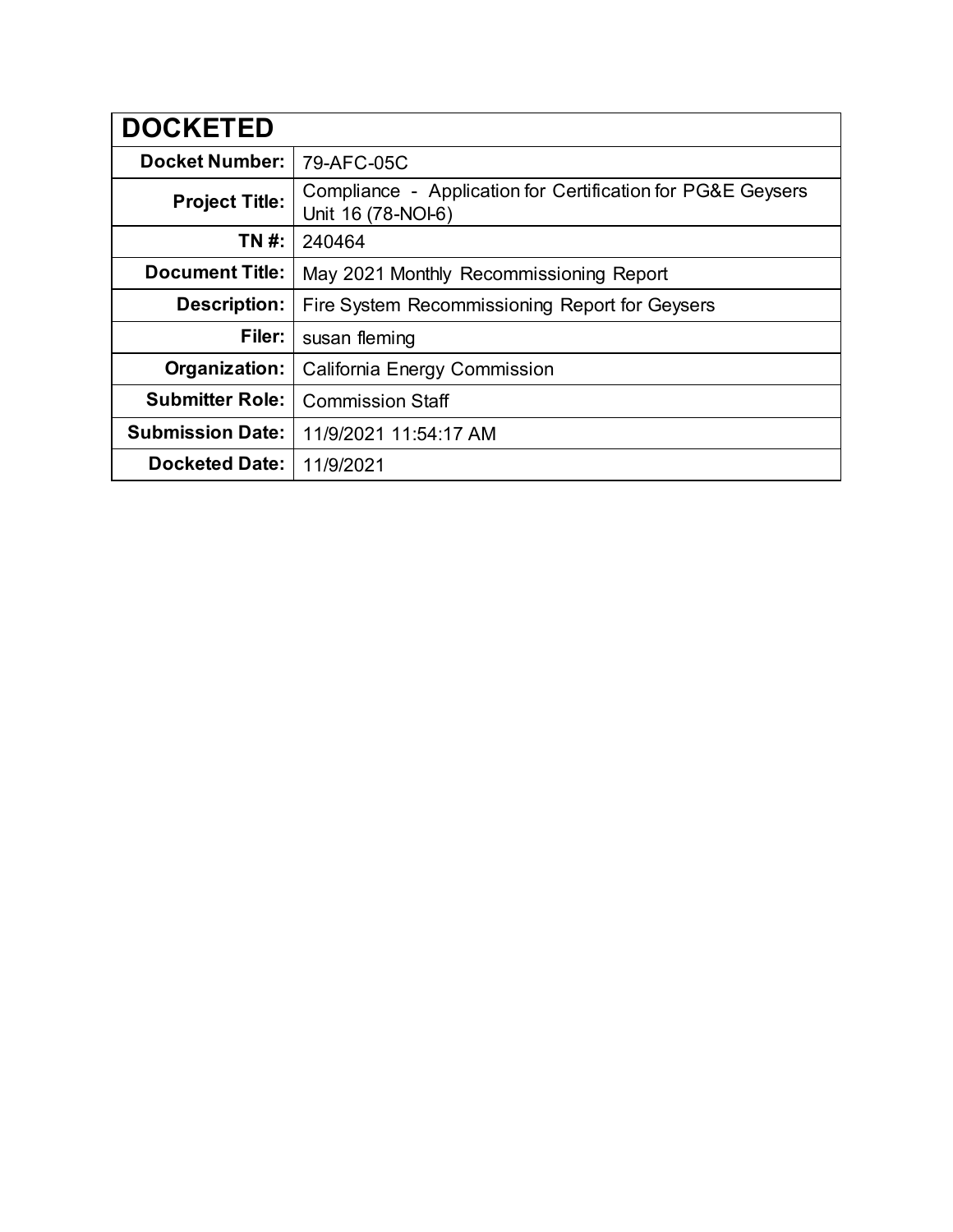| <b>DOCKETED</b>         |                                                                                   |
|-------------------------|-----------------------------------------------------------------------------------|
| <b>Docket Number:</b>   | 79-AFC-05C                                                                        |
| <b>Project Title:</b>   | Compliance - Application for Certification for PG&E Geysers<br>Unit 16 (78-NOI-6) |
| TN #:                   | 240464                                                                            |
| <b>Document Title:</b>  | May 2021 Monthly Recommissioning Report                                           |
| <b>Description:</b>     | Fire System Recommissioning Report for Geysers                                    |
| Filer:                  | susan fleming                                                                     |
| Organization:           | <b>California Energy Commission</b>                                               |
| <b>Submitter Role:</b>  | <b>Commission Staff</b>                                                           |
| <b>Submission Date:</b> | 11/9/2021 11:54:17 AM                                                             |
| <b>Docketed Date:</b>   | 11/9/2021                                                                         |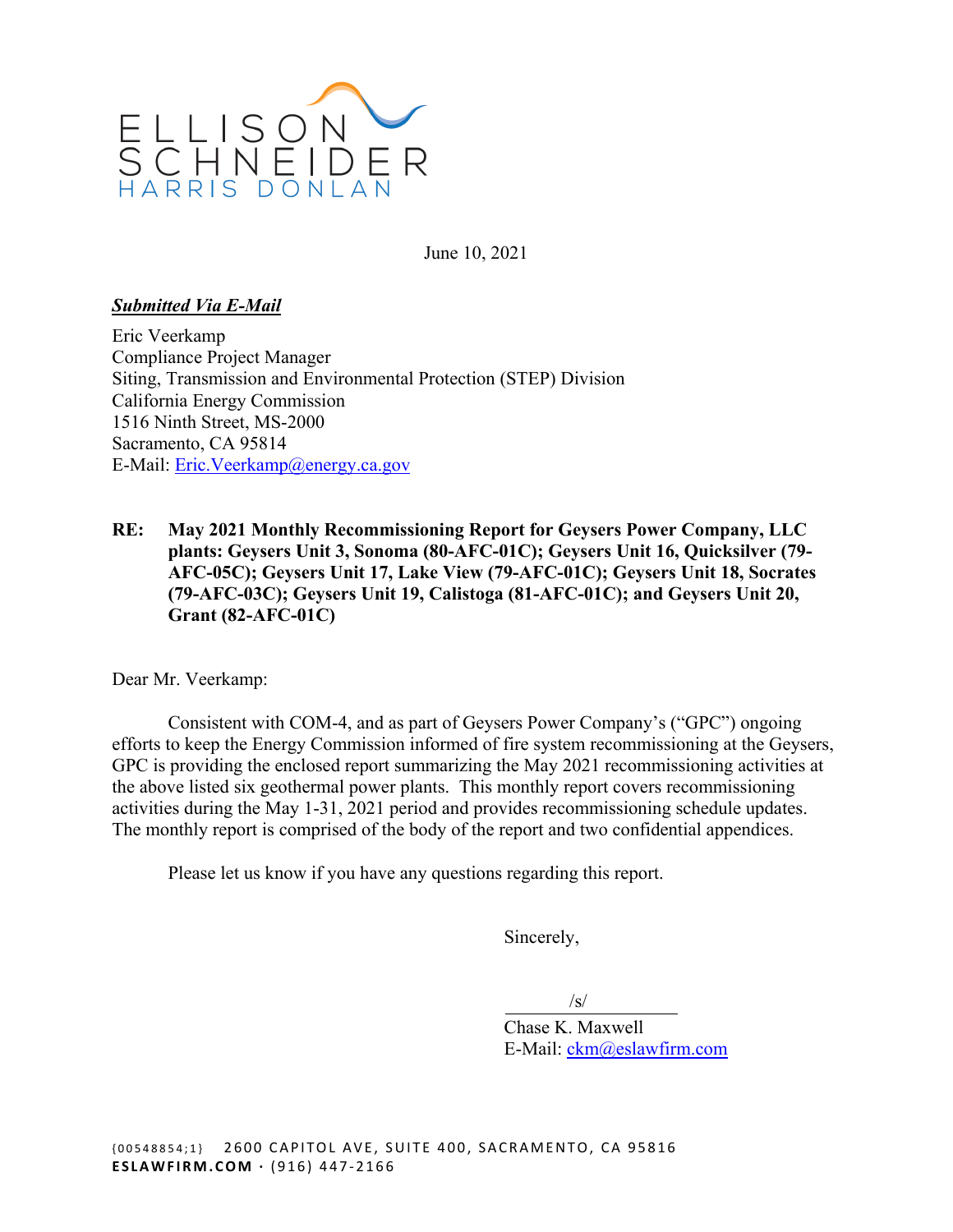

June 10, 2021

#### *Submitted Via E-Mail*

Eric Veerkamp Compliance Project Manager Siting, Transmission and Environmental Protection (STEP) Division California Energy Commission 1516 Ninth Street, MS-2000 Sacramento, CA 95814 E-Mail: [Eric.Veerkamp@energy.ca.gov](mailto:Eric.Veerkamp@energy.ca.gov) 

**RE: May 2021 Monthly Recommissioning Report for Geysers Power Company, LLC plants: Geysers Unit 3, Sonoma (80-AFC-01C); Geysers Unit 16, Quicksilver (79- AFC-05C); Geysers Unit 17, Lake View (79-AFC-01C); Geysers Unit 18, Socrates (79-AFC-03C); Geysers Unit 19, Calistoga (81-AFC-01C); and Geysers Unit 20, Grant (82-AFC-01C)** 

Dear Mr. Veerkamp:

Consistent with COM-4, and as part of Geysers Power Company's ("GPC") ongoing efforts to keep the Energy Commission informed of fire system recommissioning at the Geysers, GPC is providing the enclosed report summarizing the May 2021 recommissioning activities at the above listed six geothermal power plants. This monthly report covers recommissioning activities during the May 1-31, 2021 period and provides recommissioning schedule updates. The monthly report is comprised of the body of the report and two confidential appendices.

Please let us know if you have any questions regarding this report.

Sincerely,

 $\sqrt{s}$ 

Chase K. Maxwell E-Mail: [ckm@eslawfirm.com](mailto:ckm@eslawfirm.com)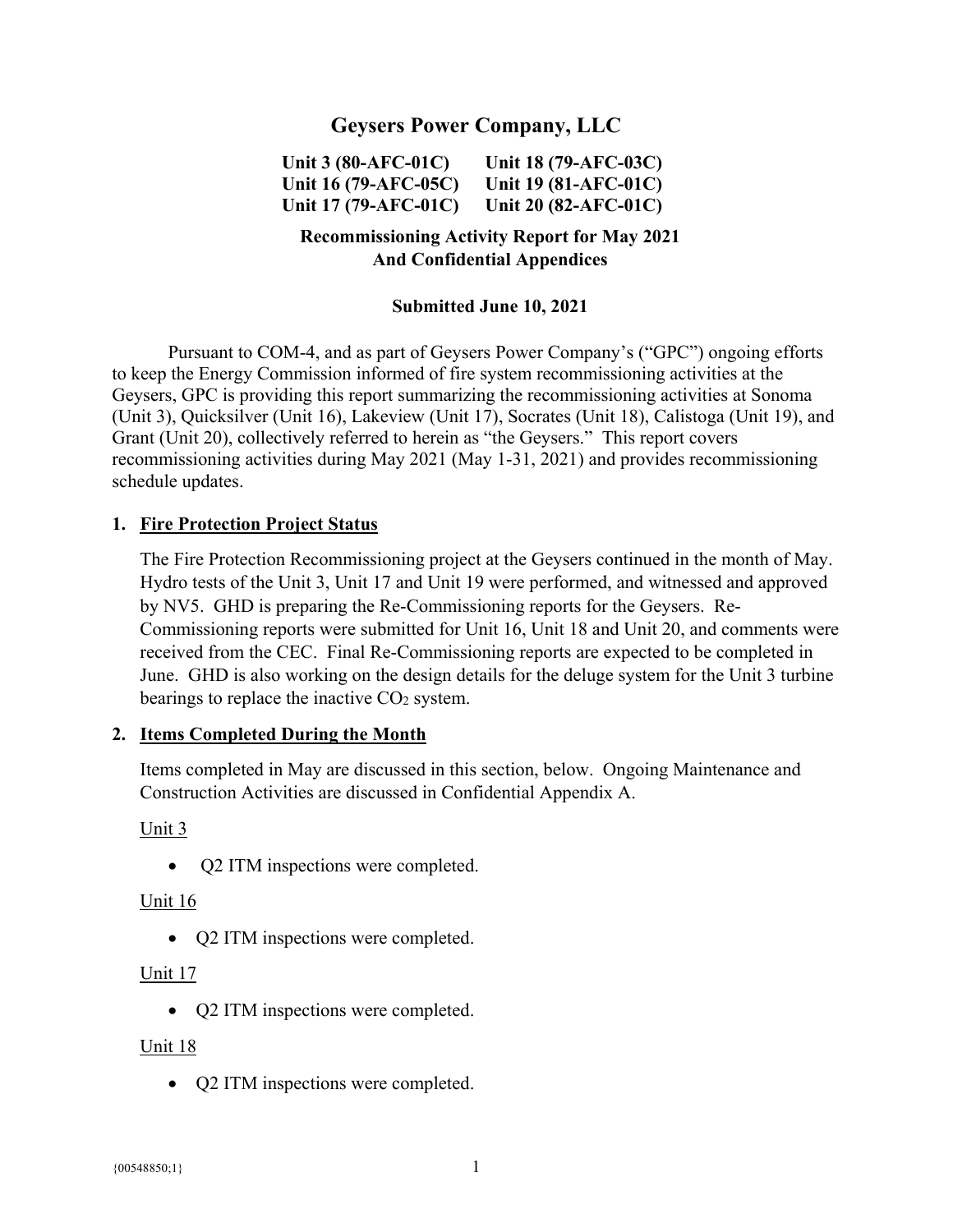# **Geysers Power Company, LLC**

**Unit 3 (80-AFC-01C) Unit 18 (79-AFC-03C) Unit 16 (79-AFC-05C) Unit 19 (81-AFC-01C) Unit 17 (79-AFC-01C) Unit 20 (82-AFC-01C)** 

### **Recommissioning Activity Report for May 2021 And Confidential Appendices**

#### **Submitted June 10, 2021**

Pursuant to COM-4, and as part of Geysers Power Company's ("GPC") ongoing efforts to keep the Energy Commission informed of fire system recommissioning activities at the Geysers, GPC is providing this report summarizing the recommissioning activities at Sonoma (Unit 3), Quicksilver (Unit 16), Lakeview (Unit 17), Socrates (Unit 18), Calistoga (Unit 19), and Grant (Unit 20), collectively referred to herein as "the Geysers." This report covers recommissioning activities during May 2021 (May 1-31, 2021) and provides recommissioning schedule updates.

#### **1. Fire Protection Project Status**

The Fire Protection Recommissioning project at the Geysers continued in the month of May. Hydro tests of the Unit 3, Unit 17 and Unit 19 were performed, and witnessed and approved by NV5. GHD is preparing the Re-Commissioning reports for the Geysers. Re-Commissioning reports were submitted for Unit 16, Unit 18 and Unit 20, and comments were received from the CEC. Final Re-Commissioning reports are expected to be completed in June. GHD is also working on the design details for the deluge system for the Unit 3 turbine bearings to replace the inactive CO<sub>2</sub> system.

#### **2. Items Completed During the Month**

Items completed in May are discussed in this section, below. Ongoing Maintenance and Construction Activities are discussed in Confidential Appendix A.

Unit 3

• Q2 ITM inspections were completed.

Unit 16

• Q2 ITM inspections were completed.

#### Unit 17

• O2 ITM inspections were completed.

#### Unit 18

• Q2 ITM inspections were completed.